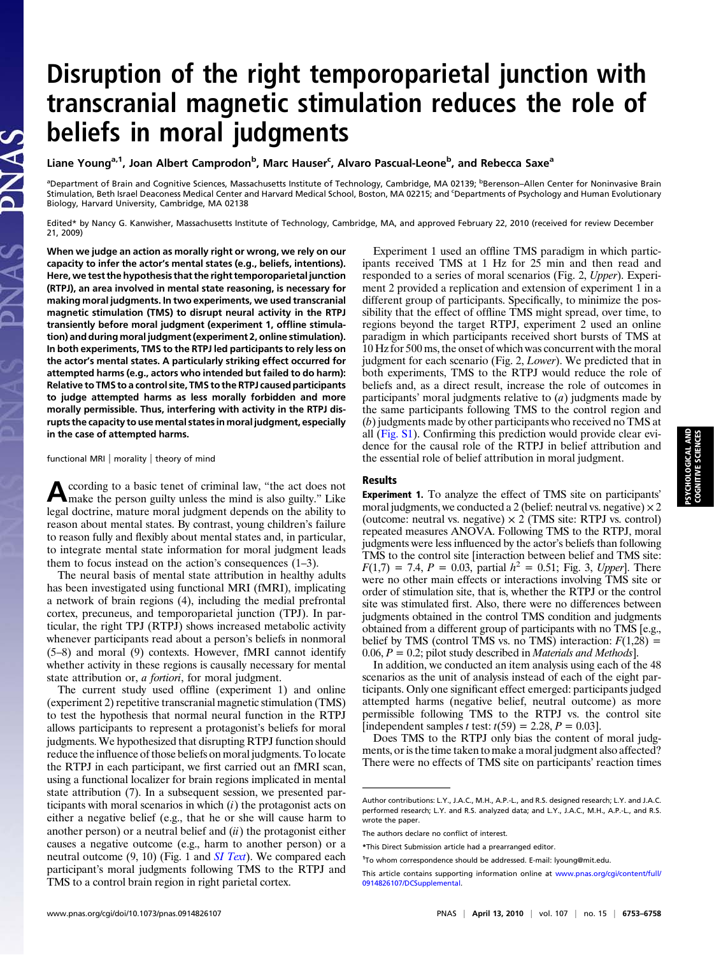# Disruption of the right temporoparietal junction with transcranial magnetic stimulation reduces the role of beliefs in moral judgments

Liane Young<sup>a, 1</sup>, Joan Albert Camprodon<sup>b</sup>, Marc Hauser<sup>c</sup>, Alvaro Pascual-Leone<sup>b</sup>, and Rebecca Saxe<sup>a</sup>

<sup>a</sup>Department of Brain and Cognitive Sciences, Massachusetts Institute of Technology, Cambridge, MA 02139; <sup>b</sup>Berenson–Allen Center for Noninvasive Brain Stimulation, Beth Israel Deaconess Medical Center and Harvard Medical School, Boston, MA 02215; and <sup>c</sup> Departments of Psychology and Human Evolutionary Biology, Harvard University, Cambridge, MA 02138

Edited\* by Nancy G. Kanwisher, Massachusetts Institute of Technology, Cambridge, MA, and approved February 22, 2010 (received for review December 21, 2009)

When we judge an action as morally right or wrong, we rely on our capacity to infer the actor's mental states (e.g., beliefs, intentions). Here, we test the hypothesis that the right temporoparietal junction (RTPJ), an area involved in mental state reasoning, is necessary for making moral judgments. In two experiments, we used transcranial magnetic stimulation (TMS) to disrupt neural activity in the RTPJ transiently before moral judgment (experiment 1, offline stimulation) and during moral judgment (experiment 2, online stimulation). In both experiments, TMS to the RTPJ led participants to rely less on the actor's mental states. A particularly striking effect occurred for attempted harms (e.g., actors who intended but failed to do harm): Relative to TMS to a control site, TMS to the RTPJ caused participants to judge attempted harms as less morally forbidden and more morally permissible. Thus, interfering with activity in the RTPJ disrupts the capacity to use mental states in moral judgment, especially in the case of attempted harms.

## functional MRI | morality | theory of mind

According to a basic tenet of criminal law, "the act does not make the person guilty unless the mind is also guilty." Like legal doctrine, mature moral judgment depends on the ability to reason about mental states. By contrast, young children's failure to reason fully and flexibly about mental states and, in particular, to integrate mental state information for moral judgment leads them to focus instead on the action's consequences (1–3).

The neural basis of mental state attribution in healthy adults has been investigated using functional MRI (fMRI), implicating a network of brain regions (4), including the medial prefrontal cortex, precuneus, and temporoparietal junction (TPJ). In particular, the right TPJ (RTPJ) shows increased metabolic activity whenever participants read about a person's beliefs in nonmoral (5–8) and moral (9) contexts. However, fMRI cannot identify whether activity in these regions is causally necessary for mental state attribution or, *a fortiori*, for moral judgment.

The current study used offline (experiment 1) and online (experiment 2) repetitive transcranial magnetic stimulation (TMS) to test the hypothesis that normal neural function in the RTPJ allows participants to represent a protagonist's beliefs for moral judgments. We hypothesized that disrupting RTPJ function should reduce the influence of those beliefs on moral judgments. To locate the RTPJ in each participant, we first carried out an fMRI scan, using a functional localizer for brain regions implicated in mental state attribution (7). In a subsequent session, we presented participants with moral scenarios in which  $(i)$  the protagonist acts on either a negative belief (e.g., that he or she will cause harm to another person) or a neutral belief and  $(ii)$  the protagonist either causes a negative outcome (e.g., harm to another person) or a neutral outcome  $(9, 10)$  (Fig. 1 and *[SI Text](http://www.pnas.org/cgi/data/0914826107/DCSupplemental/Supplemental_PDF#nameddest=STXT)*). We compared each participant's moral judgments following TMS to the RTPJ and TMS to a control brain region in right parietal cortex.

Experiment 1 used an offline TMS paradigm in which participants received TMS at 1 Hz for 25 min and then read and responded to a series of moral scenarios (Fig. 2, Upper). Experiment 2 provided a replication and extension of experiment 1 in a different group of participants. Specifically, to minimize the possibility that the effect of offline TMS might spread, over time, to regions beyond the target RTPJ, experiment 2 used an online paradigm in which participants received short bursts of TMS at 10 Hz for 500 ms, the onset of which was concurrent with the moral judgment for each scenario (Fig. 2, Lower). We predicted that in both experiments, TMS to the RTPJ would reduce the role of beliefs and, as a direct result, increase the role of outcomes in participants' moral judgments relative to  $(a)$  judgments made by the same participants following TMS to the control region and (b) judgments made by other participants who received no TMS at all [\(Fig. S1\)](http://www.pnas.org/cgi/data/0914826107/DCSupplemental/Supplemental_PDF#nameddest=sfig01). Confirming this prediction would provide clear evidence for the causal role of the RTPJ in belief attribution and the essential role of belief attribution in moral judgment.

## Results

Experiment 1. To analyze the effect of TMS site on participants' moral judgments, we conducted a 2 (belief: neutral vs. negative)  $\times$  2 (outcome: neutral vs. negative)  $\times$  2 (TMS site: RTPJ vs. control) repeated measures ANOVA. Following TMS to the RTPJ, moral judgments were less influenced by the actor's beliefs than following TMS to the control site [interaction between belief and TMS site:  $F(1,7) = 7.4, P = 0.03,$  partial  $h^2 = 0.51$ ; Fig. 3, Upper]. There were no other main effects or interactions involving TMS site or order of stimulation site, that is, whether the RTPJ or the control site was stimulated first. Also, there were no differences between judgments obtained in the control TMS condition and judgments obtained from a different group of participants with no TMS [e.g., belief by TMS (control TMS vs. no TMS) interaction:  $F(1,28) =$ 0.06,  $P = 0.2$ ; pilot study described in *Materials and Methods*].

In addition, we conducted an item analysis using each of the 48 scenarios as the unit of analysis instead of each of the eight participants. Only one significant effect emerged: participants judged attempted harms (negative belief, neutral outcome) as more permissible following TMS to the RTPJ vs. the control site [independent samples *t* test:  $t(59) = 2.28, P = 0.03$ ].

Does TMS to the RTPJ only bias the content of moral judgments, or is the time taken to make a moral judgment also affected? There were no effects of TMS site on participants' reaction times

Author contributions: L.Y., J.A.C., M.H., A.P.-L., and R.S. designed research; L.Y. and J.A.C. performed research; L.Y. and R.S. analyzed data; and L.Y., J.A.C., M.H., A.P.-L., and R.S. wrote the paper.

The authors declare no conflict of interest.

<sup>\*</sup>This Direct Submission article had a prearranged editor.

<sup>&</sup>lt;sup>1</sup>To whom correspondence should be addressed. E-mail: [lyoung@mit.edu](mailto:lyoung@mit.edu).

This article contains supporting information online at [www.pnas.org/cgi/content/full/](http://www.pnas.org/cgi/content/full/0914826107/DCSupplemental) [0914826107/DCSupplemental](http://www.pnas.org/cgi/content/full/0914826107/DCSupplemental).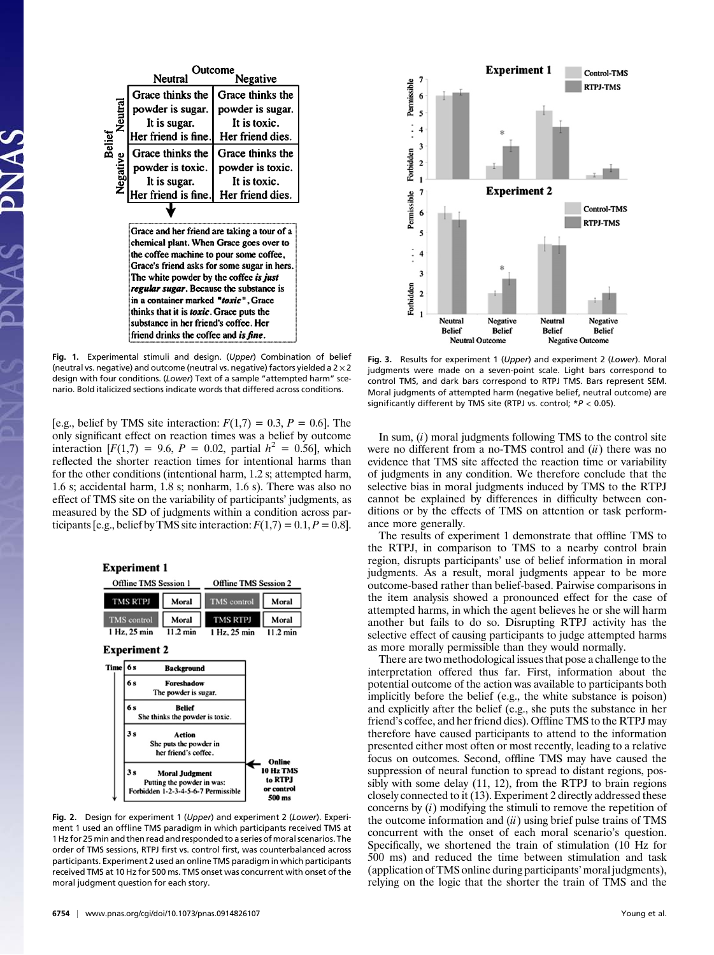

Fig. 1. Experimental stimuli and design. (Upper) Combination of belief (neutral vs. negative) and outcome (neutral vs. negative) factors yielded a  $2 \times 2$ design with four conditions. (Lower) Text of a sample "attempted harm" scenario. Bold italicized sections indicate words that differed across conditions.

[e.g., belief by TMS site interaction:  $F(1,7) = 0.3$ ,  $P = 0.6$ ]. The only significant effect on reaction times was a belief by outcome interaction  $[F(1,7) = 9.6, P = 0.02,$  partial  $h^2 = 0.56$ , which reflected the shorter reaction times for intentional harms than for the other conditions (intentional harm, 1.2 s; attempted harm, 1.6 s; accidental harm, 1.8 s; nonharm, 1.6 s). There was also no effect of TMS site on the variability of participants' judgments, as measured by the SD of judgments within a condition across participants [e.g., belief by TMS site interaction:  $F(1,7) = 0.1$ ,  $P = 0.8$ ].



Fig. 2. Design for experiment 1 (Upper) and experiment 2 (Lower). Experiment 1 used an offline TMS paradigm in which participants received TMS at 1 Hz for 25 min and then read and responded to a series of moral scenarios. The order of TMS sessions, RTPJ first vs. control first, was counterbalanced across participants. Experiment 2 used an online TMS paradigm in which participants received TMS at 10 Hz for 500 ms. TMS onset was concurrent with onset of the moral judgment question for each story.



Fig. 3. Results for experiment 1 (Upper) and experiment 2 (Lower). Moral judgments were made on a seven-point scale. Light bars correspond to control TMS, and dark bars correspond to RTPJ TMS. Bars represent SEM. Moral judgments of attempted harm (negative belief, neutral outcome) are significantly different by TMS site (RTPJ vs. control;  $*P < 0.05$ ).

In sum,  $(i)$  moral judgments following TMS to the control site were no different from a no-TMS control and  $(ii)$  there was no evidence that TMS site affected the reaction time or variability of judgments in any condition. We therefore conclude that the selective bias in moral judgments induced by TMS to the RTPJ cannot be explained by differences in difficulty between conditions or by the effects of TMS on attention or task performance more generally.

The results of experiment 1 demonstrate that offline TMS to the RTPJ, in comparison to TMS to a nearby control brain region, disrupts participants' use of belief information in moral judgments. As a result, moral judgments appear to be more outcome-based rather than belief-based. Pairwise comparisons in the item analysis showed a pronounced effect for the case of attempted harms, in which the agent believes he or she will harm another but fails to do so. Disrupting RTPJ activity has the selective effect of causing participants to judge attempted harms as more morally permissible than they would normally.

There are two methodological issues that pose a challenge to the interpretation offered thus far. First, information about the potential outcome of the action was available to participants both implicitly before the belief (e.g., the white substance is poison) and explicitly after the belief (e.g., she puts the substance in her friend's coffee, and her friend dies). Offline TMS to the RTPJ may therefore have caused participants to attend to the information presented either most often or most recently, leading to a relative focus on outcomes. Second, offline TMS may have caused the suppression of neural function to spread to distant regions, possibly with some delay (11, 12), from the RTPJ to brain regions closely connected to it (13). Experiment 2 directly addressed these concerns by  $(i)$  modifying the stimuli to remove the repetition of the outcome information and  $(ii)$  using brief pulse trains of TMS concurrent with the onset of each moral scenario's question. Specifically, we shortened the train of stimulation (10 Hz for 500 ms) and reduced the time between stimulation and task (application of TMS online during participants' moral judgments), relying on the logic that the shorter the train of TMS and the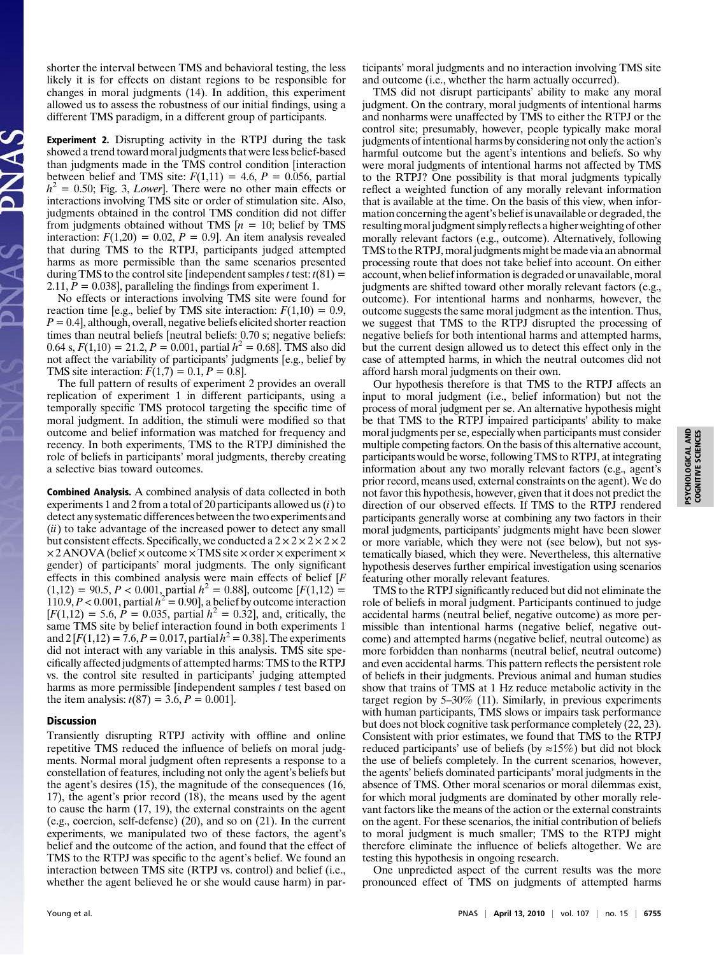shorter the interval between TMS and behavioral testing, the less likely it is for effects on distant regions to be responsible for changes in moral judgments (14). In addition, this experiment allowed us to assess the robustness of our initial findings, using a different TMS paradigm, in a different group of participants.

Experiment 2. Disrupting activity in the RTPJ during the task showed a trend toward moral judgments that were less belief-based than judgments made in the TMS control condition [interaction between belief and TMS site:  $F(1,11) = 4.6$ ,  $P = 0.056$ , partial  $h^2 = 0.50$ ; Fig. 3, Lower]. There were no other main effects or interactions involving TMS site or order of stimulation site. Also, judgments obtained in the control TMS condition did not differ from judgments obtained without TMS  $[n = 10]$ ; belief by TMS interaction:  $F(1,20) = 0.02$ ,  $P = 0.9$ ]. An item analysis revealed that during TMS to the RTPJ, participants judged attempted harms as more permissible than the same scenarios presented during TMS to the control site [independent samples t test:  $t(81) =$ 2.11,  $P = 0.038$ , paralleling the findings from experiment 1.

No effects or interactions involving TMS site were found for reaction time [e.g., belief by TMS site interaction:  $F(1,10) = 0.9$ ,  $P = 0.4$ , although, overall, negative beliefs elicited shorter reaction times than neutral beliefs [neutral beliefs: 0.70 s; negative beliefs:  $0.64$  s,  $F(1,10) = 21.2, P = 0.001$ , partial  $h^2 = 0.68$ . TMS also did not affect the variability of participants' judgments [e.g., belief by TMS site interaction:  $F(1,7) = 0.1, P = 0.8$ .

The full pattern of results of experiment 2 provides an overall replication of experiment 1 in different participants, using a temporally specific TMS protocol targeting the specific time of moral judgment. In addition, the stimuli were modified so that outcome and belief information was matched for frequency and recency. In both experiments, TMS to the RTPJ diminished the role of beliefs in participants' moral judgments, thereby creating a selective bias toward outcomes.

Combined Analysis. A combined analysis of data collected in both experiments 1 and 2 from a total of 20 participants allowed us  $(i)$  to detect any systematic differences between the two experiments and  $(ii)$  to take advantage of the increased power to detect any small but consistent effects. Specifically, we conducted a  $2 \times 2 \times 2 \times 2 \times 2$  $\times$  2 ANOVA (belief  $\times$  outcome  $\times$  TMS site  $\times$  order  $\times$  experiment  $\times$ gender) of participants' moral judgments. The only significant effects in this combined analysis were main effects of belief [F  $(1,12) = 90.5, P < 0.001$ , partial  $h^2 = 0.88$ , outcome  $[F(1,12)] =$  $110.9, P < 0.001$ , partial  $h^2 = 0.90$ , a belief by outcome interaction  $[F(1,12) = 5.6, P = 0.035,$  partial  $h^2 = 0.32$ , and, critically, the same TMS site by belief interaction found in both experiments 1 and  $2 [F(1,12) = 7.6, P = 0.017,$  partial  $h^2 = 0.38$ . The experiments did not interact with any variable in this analysis. TMS site specifically affected judgments of attempted harms: TMS to the RTPJ vs. the control site resulted in participants' judging attempted harms as more permissible [independent samples t test based on the item analysis:  $t(87) = 3.6, P = 0.001$ .

### Discussion

Transiently disrupting RTPJ activity with offline and online repetitive TMS reduced the influence of beliefs on moral judgments. Normal moral judgment often represents a response to a constellation of features, including not only the agent's beliefs but the agent's desires (15), the magnitude of the consequences (16, 17), the agent's prior record (18), the means used by the agent to cause the harm (17, 19), the external constraints on the agent (e.g., coercion, self-defense) (20), and so on (21). In the current experiments, we manipulated two of these factors, the agent's belief and the outcome of the action, and found that the effect of TMS to the RTPJ was specific to the agent's belief. We found an interaction between TMS site (RTPJ vs. control) and belief (i.e., whether the agent believed he or she would cause harm) in participants' moral judgments and no interaction involving TMS site and outcome (i.e., whether the harm actually occurred).

TMS did not disrupt participants' ability to make any moral judgment. On the contrary, moral judgments of intentional harms and nonharms were unaffected by TMS to either the RTPJ or the control site; presumably, however, people typically make moral judgments of intentional harms by considering not only the action's harmful outcome but the agent's intentions and beliefs. So why were moral judgments of intentional harms not affected by TMS to the RTPJ? One possibility is that moral judgments typically reflect a weighted function of any morally relevant information that is available at the time. On the basis of this view, when information concerning the agent's belief is unavailable or degraded, the resulting moral judgment simply reflects a higher weighting of other morally relevant factors (e.g., outcome). Alternatively, following TMS to the RTPJ, moral judgments might be made via an abnormal processing route that does not take belief into account. On either account, when belief information is degraded or unavailable, moral judgments are shifted toward other morally relevant factors (e.g., outcome). For intentional harms and nonharms, however, the outcome suggests the same moral judgment as the intention. Thus, we suggest that TMS to the RTPJ disrupted the processing of negative beliefs for both intentional harms and attempted harms, but the current design allowed us to detect this effect only in the case of attempted harms, in which the neutral outcomes did not afford harsh moral judgments on their own.

Our hypothesis therefore is that TMS to the RTPJ affects an input to moral judgment (i.e., belief information) but not the process of moral judgment per se. An alternative hypothesis might be that TMS to the RTPJ impaired participants' ability to make moral judgments per se, especially when participants must consider multiple competing factors. On the basis of this alternative account, participants would be worse, following TMS to RTPJ, at integrating information about any two morally relevant factors (e.g., agent's prior record, means used, external constraints on the agent). We do not favor this hypothesis, however, given that it does not predict the direction of our observed effects. If TMS to the RTPJ rendered participants generally worse at combining any two factors in their moral judgments, participants' judgments might have been slower or more variable, which they were not (see below), but not systematically biased, which they were. Nevertheless, this alternative hypothesis deserves further empirical investigation using scenarios featuring other morally relevant features.

TMS to the RTPJ significantly reduced but did not eliminate the role of beliefs in moral judgment. Participants continued to judge accidental harms (neutral belief, negative outcome) as more permissible than intentional harms (negative belief, negative outcome) and attempted harms (negative belief, neutral outcome) as more forbidden than nonharms (neutral belief, neutral outcome) and even accidental harms. This pattern reflects the persistent role of beliefs in their judgments. Previous animal and human studies show that trains of TMS at 1 Hz reduce metabolic activity in the target region by 5–30% (11). Similarly, in previous experiments with human participants, TMS slows or impairs task performance but does not block cognitive task performance completely (22, 23). Consistent with prior estimates, we found that TMS to the RTPJ reduced participants' use of beliefs (by  $\approx 15\%$ ) but did not block the use of beliefs completely. In the current scenarios, however, the agents' beliefs dominated participants' moral judgments in the absence of TMS. Other moral scenarios or moral dilemmas exist, for which moral judgments are dominated by other morally relevant factors like the means of the action or the external constraints on the agent. For these scenarios, the initial contribution of beliefs to moral judgment is much smaller; TMS to the RTPJ might therefore eliminate the influence of beliefs altogether. We are testing this hypothesis in ongoing research.

One unpredicted aspect of the current results was the more pronounced effect of TMS on judgments of attempted harms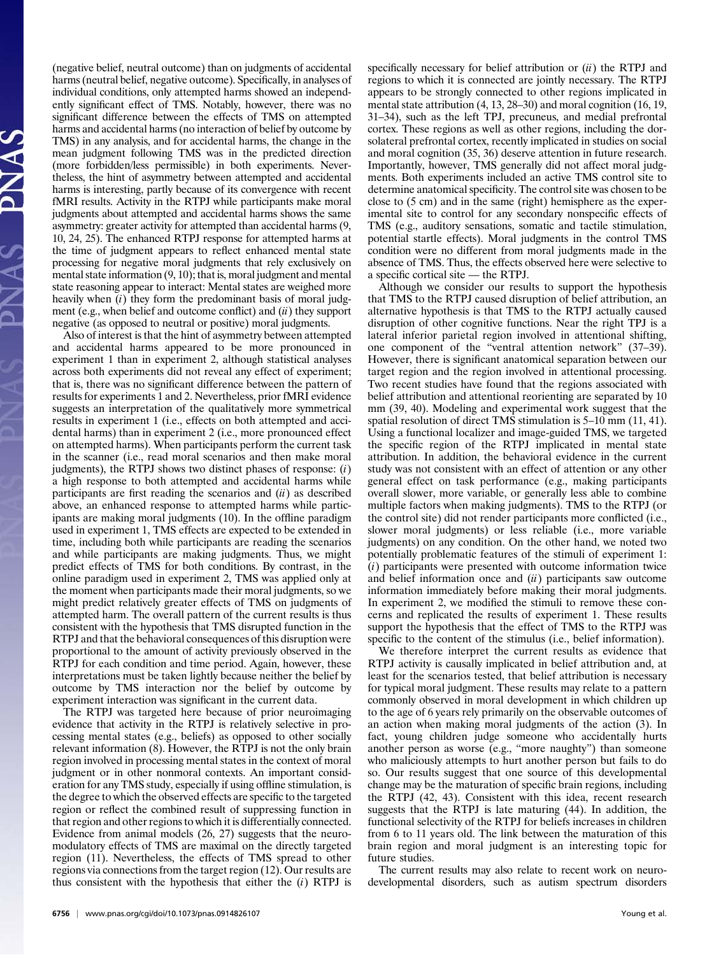(negative belief, neutral outcome) than on judgments of accidental harms (neutral belief, negative outcome). Specifically, in analyses of individual conditions, only attempted harms showed an independently significant effect of TMS. Notably, however, there was no significant difference between the effects of TMS on attempted harms and accidental harms (no interaction of belief by outcome by TMS) in any analysis, and for accidental harms, the change in the mean judgment following TMS was in the predicted direction (more forbidden/less permissible) in both experiments. Nevertheless, the hint of asymmetry between attempted and accidental harms is interesting, partly because of its convergence with recent fMRI results. Activity in the RTPJ while participants make moral judgments about attempted and accidental harms shows the same asymmetry: greater activity for attempted than accidental harms (9, 10, 24, 25). The enhanced RTPJ response for attempted harms at the time of judgment appears to reflect enhanced mental state processing for negative moral judgments that rely exclusively on mental state information (9, 10); that is, moral judgment and mental state reasoning appear to interact: Mental states are weighed more heavily when  $(i)$  they form the predominant basis of moral judgment (e.g., when belief and outcome conflict) and  $(ii)$  they support negative (as opposed to neutral or positive) moral judgments.

Also of interest is that the hint of asymmetry between attempted and accidental harms appeared to be more pronounced in experiment 1 than in experiment 2, although statistical analyses across both experiments did not reveal any effect of experiment; that is, there was no significant difference between the pattern of results for experiments 1 and 2. Nevertheless, prior fMRI evidence suggests an interpretation of the qualitatively more symmetrical results in experiment 1 (i.e., effects on both attempted and accidental harms) than in experiment 2 (i.e., more pronounced effect on attempted harms). When participants perform the current task in the scanner (i.e., read moral scenarios and then make moral judgments), the RTPJ shows two distinct phases of response:  $(i)$ a high response to both attempted and accidental harms while participants are first reading the scenarios and  $(ii)$  as described above, an enhanced response to attempted harms while participants are making moral judgments (10). In the offline paradigm used in experiment 1, TMS effects are expected to be extended in time, including both while participants are reading the scenarios and while participants are making judgments. Thus, we might predict effects of TMS for both conditions. By contrast, in the online paradigm used in experiment 2, TMS was applied only at the moment when participants made their moral judgments, so we might predict relatively greater effects of TMS on judgments of attempted harm. The overall pattern of the current results is thus consistent with the hypothesis that TMS disrupted function in the RTPJ and that the behavioral consequences of this disruption were proportional to the amount of activity previously observed in the RTPJ for each condition and time period. Again, however, these interpretations must be taken lightly because neither the belief by outcome by TMS interaction nor the belief by outcome by experiment interaction was significant in the current data.

The RTPJ was targeted here because of prior neuroimaging evidence that activity in the RTPJ is relatively selective in processing mental states (e.g., beliefs) as opposed to other socially relevant information (8). However, the RTPJ is not the only brain region involved in processing mental states in the context of moral judgment or in other nonmoral contexts. An important consideration for any TMS study, especially if using offline stimulation, is the degree to which the observed effects are specific to the targeted region or reflect the combined result of suppressing function in that region and other regions to which it is differentially connected. Evidence from animal models (26, 27) suggests that the neuromodulatory effects of TMS are maximal on the directly targeted region (11). Nevertheless, the effects of TMS spread to other regions via connections from the target region (12). Our results are thus consistent with the hypothesis that either the  $(i)$  RTPJ is

specifically necessary for belief attribution or  $(ii)$  the RTPJ and regions to which it is connected are jointly necessary. The RTPJ appears to be strongly connected to other regions implicated in mental state attribution (4, 13, 28–30) and moral cognition (16, 19, 31–34), such as the left TPJ, precuneus, and medial prefrontal cortex. These regions as well as other regions, including the dorsolateral prefrontal cortex, recently implicated in studies on social and moral cognition (35, 36) deserve attention in future research. Importantly, however, TMS generally did not affect moral judgments. Both experiments included an active TMS control site to determine anatomical specificity. The control site was chosen to be close to (5 cm) and in the same (right) hemisphere as the experimental site to control for any secondary nonspecific effects of TMS (e.g., auditory sensations, somatic and tactile stimulation, potential startle effects). Moral judgments in the control TMS condition were no different from moral judgments made in the absence of TMS. Thus, the effects observed here were selective to a specific cortical site — the RTPJ.

Although we consider our results to support the hypothesis that TMS to the RTPJ caused disruption of belief attribution, an alternative hypothesis is that TMS to the RTPJ actually caused disruption of other cognitive functions. Near the right TPJ is a lateral inferior parietal region involved in attentional shifting, one component of the "ventral attention network" (37–39). However, there is significant anatomical separation between our target region and the region involved in attentional processing. Two recent studies have found that the regions associated with belief attribution and attentional reorienting are separated by 10 mm (39, 40). Modeling and experimental work suggest that the spatial resolution of direct TMS stimulation is 5–10 mm (11, 41). Using a functional localizer and image-guided TMS, we targeted the specific region of the RTPJ implicated in mental state attribution. In addition, the behavioral evidence in the current study was not consistent with an effect of attention or any other general effect on task performance (e.g., making participants overall slower, more variable, or generally less able to combine multiple factors when making judgments). TMS to the RTPJ (or the control site) did not render participants more conflicted (i.e., slower moral judgments) or less reliable (i.e., more variable judgments) on any condition. On the other hand, we noted two potentially problematic features of the stimuli of experiment 1: (i) participants were presented with outcome information twice and belief information once and  $(ii)$  participants saw outcome information immediately before making their moral judgments. In experiment 2, we modified the stimuli to remove these concerns and replicated the results of experiment 1. These results support the hypothesis that the effect of TMS to the RTPJ was specific to the content of the stimulus (i.e., belief information).

We therefore interpret the current results as evidence that RTPJ activity is causally implicated in belief attribution and, at least for the scenarios tested, that belief attribution is necessary for typical moral judgment. These results may relate to a pattern commonly observed in moral development in which children up to the age of 6 years rely primarily on the observable outcomes of an action when making moral judgments of the action (3). In fact, young children judge someone who accidentally hurts another person as worse (e.g., "more naughty") than someone who maliciously attempts to hurt another person but fails to do so. Our results suggest that one source of this developmental change may be the maturation of specific brain regions, including the RTPJ (42, 43). Consistent with this idea, recent research suggests that the RTPJ is late maturing (44). In addition, the functional selectivity of the RTPJ for beliefs increases in children from 6 to 11 years old. The link between the maturation of this brain region and moral judgment is an interesting topic for future studies.

The current results may also relate to recent work on neurodevelopmental disorders, such as autism spectrum disorders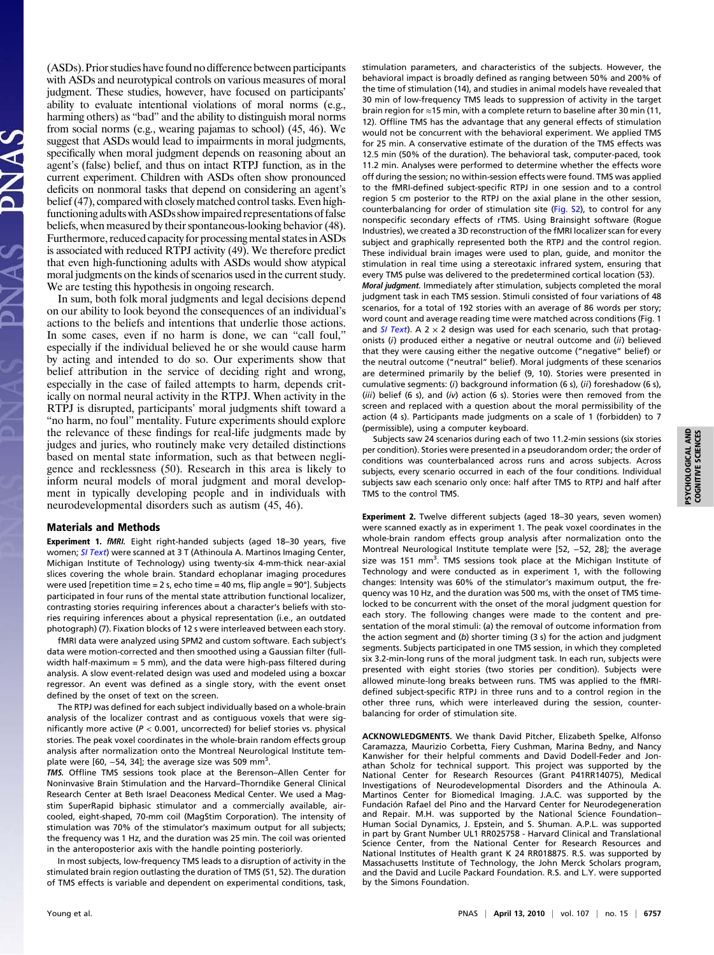(ASDs). Prior studies have found no difference between participants with ASDs and neurotypical controls on various measures of moral judgment. These studies, however, have focused on participants' ability to evaluate intentional violations of moral norms (e.g., harming others) as "bad" and the ability to distinguish moral norms from social norms (e.g., wearing pajamas to school) (45, 46). We suggest that ASDs would lead to impairments in moral judgments, specifically when moral judgment depends on reasoning about an agent's (false) belief, and thus on intact RTPJ function, as in the current experiment. Children with ASDs often show pronounced deficits on nonmoral tasks that depend on considering an agent's belief (47), compared with closely matched control tasks. Even highfunctioning adults with ASDs show impaired representations of false beliefs, when measured by their spontaneous-looking behavior (48). Furthermore, reduced capacity for processing mental states in ASDs is associated with reduced RTPJ activity (49). We therefore predict that even high-functioning adults with ASDs would show atypical moral judgments on the kinds of scenarios used in the current study. We are testing this hypothesis in ongoing research.

In sum, both folk moral judgments and legal decisions depend on our ability to look beyond the consequences of an individual's actions to the beliefs and intentions that underlie those actions. In some cases, even if no harm is done, we can "call foul," especially if the individual believed he or she would cause harm by acting and intended to do so. Our experiments show that belief attribution in the service of deciding right and wrong, especially in the case of failed attempts to harm, depends critically on normal neural activity in the RTPJ. When activity in the RTPJ is disrupted, participants' moral judgments shift toward a "no harm, no foul" mentality. Future experiments should explore the relevance of these findings for real-life judgments made by judges and juries, who routinely make very detailed distinctions based on mental state information, such as that between negligence and recklessness (50). Research in this area is likely to inform neural models of moral judgment and moral development in typically developing people and in individuals with neurodevelopmental disorders such as autism (45, 46).

### Materials and Methods

Experiment 1. fMRI. Eight right-handed subjects (aged 18-30 years, five women; [SI Text](http://www.pnas.org/cgi/data/0914826107/DCSupplemental/Supplemental_PDF#nameddest=STXT)) were scanned at 3 T (Athinoula A. Martinos Imaging Center, Michigan Institute of Technology) using twenty-six 4-mm-thick near-axial slices covering the whole brain. Standard echoplanar imaging procedures were used [repetition time = 2 s, echo time = 40 ms, flip angle = 90°]. Subjects participated in four runs of the mental state attribution functional localizer, contrasting stories requiring inferences about a character's beliefs with stories requiring inferences about a physical representation (i.e., an outdated photograph) (7). Fixation blocks of 12 s were interleaved between each story.

fMRI data were analyzed using SPM2 and custom software. Each subject's data were motion-corrected and then smoothed using a Gaussian filter (fullwidth half-maximum = 5 mm), and the data were high-pass filtered during analysis. A slow event-related design was used and modeled using a boxcar regressor. An event was defined as a single story, with the event onset defined by the onset of text on the screen.

The RTPJ was defined for each subject individually based on a whole-brain analysis of the localizer contrast and as contiguous voxels that were significantly more active ( $P < 0.001$ , uncorrected) for belief stories vs. physical stories. The peak voxel coordinates in the whole-brain random effects group analysis after normalization onto the Montreal Neurological Institute template were  $[60, -54, 34]$ ; the average size was 509 mm<sup>3</sup>.

TMS. Offline TMS sessions took place at the Berenson–Allen Center for Noninvasive Brain Stimulation and the Harvard–Thorndike General Clinical Research Center at Beth Israel Deaconess Medical Center. We used a Magstim SuperRapid biphasic stimulator and a commercially available, aircooled, eight-shaped, 70-mm coil (MagStim Corporation). The intensity of stimulation was 70% of the stimulator's maximum output for all subjects; the frequency was 1 Hz, and the duration was 25 min. The coil was oriented in the anteroposterior axis with the handle pointing posteriorly.

In most subjects, low-frequency TMS leads to a disruption of activity in the stimulated brain region outlasting the duration of TMS (51, 52). The duration of TMS effects is variable and dependent on experimental conditions, task,

stimulation parameters, and characteristics of the subjects. However, the behavioral impact is broadly defined as ranging between 50% and 200% of the time of stimulation (14), and studies in animal models have revealed that 30 min of low-frequency TMS leads to suppression of activity in the target brain region for ≈15 min, with a complete return to baseline after 30 min (11, 12). Offline TMS has the advantage that any general effects of stimulation would not be concurrent with the behavioral experiment. We applied TMS for 25 min. A conservative estimate of the duration of the TMS effects was 12.5 min (50% of the duration). The behavioral task, computer-paced, took 11.2 min. Analyses were performed to determine whether the effects wore off during the session; no within-session effects were found. TMS was applied to the fMRI-defined subject-specific RTPJ in one session and to a control region 5 cm posterior to the RTPJ on the axial plane in the other session, counterbalancing for order of stimulation site ([Fig. S2\)](http://www.pnas.org/cgi/data/0914826107/DCSupplemental/Supplemental_PDF#nameddest=sfig02), to control for any nonspecific secondary effects of rTMS. Using Brainsight software (Rogue Industries), we created a 3D reconstruction of the fMRI localizer scan for every subject and graphically represented both the RTPJ and the control region. These individual brain images were used to plan, guide, and monitor the stimulation in real time using a stereotaxic infrared system, ensuring that every TMS pulse was delivered to the predetermined cortical location (53).

Moral judgment. Immediately after stimulation, subjects completed the moral judgment task in each TMS session. Stimuli consisted of four variations of 48 scenarios, for a total of 192 stories with an average of 86 words per story; word count and average reading time were matched across conditions (Fig. 1 and  $SI$  Text). A 2  $\times$  2 design was used for each scenario, such that protagonists (i) produced either a negative or neutral outcome and (ii) believed that they were causing either the negative outcome ("negative" belief) or the neutral outcome ("neutral" belief). Moral judgments of these scenarios are determined primarily by the belief (9, 10). Stories were presented in cumulative segments: (i) background information (6 s), (ii) foreshadow (6 s), (iii) belief (6 s), and (iv) action (6 s). Stories were then removed from the screen and replaced with a question about the moral permissibility of the action (4 s). Participants made judgments on a scale of 1 (forbidden) to 7 (permissible), using a computer keyboard.

Subjects saw 24 scenarios during each of two 11.2-min sessions (six stories per condition). Stories were presented in a pseudorandom order; the order of conditions was counterbalanced across runs and across subjects. Across subjects, every scenario occurred in each of the four conditions. Individual subjects saw each scenario only once: half after TMS to RTPJ and half after TMS to the control TMS.

Experiment 2. Twelve different subjects (aged 18–30 years, seven women) were scanned exactly as in experiment 1. The peak voxel coordinates in the whole-brain random effects group analysis after normalization onto the Montreal Neurological Institute template were [52, −52, 28]; the average size was 151 mm<sup>3</sup>. TMS sessions took place at the Michigan Institute of Technology and were conducted as in experiment 1, with the following changes: Intensity was 60% of the stimulator's maximum output, the frequency was 10 Hz, and the duration was 500 ms, with the onset of TMS timelocked to be concurrent with the onset of the moral judgment question for each story. The following changes were made to the content and presentation of the moral stimuli: (a) the removal of outcome information from the action segment and (b) shorter timing (3 s) for the action and judgment segments. Subjects participated in one TMS session, in which they completed six 3.2-min-long runs of the moral judgment task. In each run, subjects were presented with eight stories (two stories per condition). Subjects were allowed minute-long breaks between runs. TMS was applied to the fMRIdefined subject-specific RTPJ in three runs and to a control region in the other three runs, which were interleaved during the session, counterbalancing for order of stimulation site.

ACKNOWLEDGMENTS. We thank David Pitcher, Elizabeth Spelke, Alfonso Caramazza, Maurizio Corbetta, Fiery Cushman, Marina Bedny, and Nancy Kanwisher for their helpful comments and David Dodell-Feder and Jonathan Scholz for technical support. This project was supported by the National Center for Research Resources (Grant P41RR14075), Medical Investigations of Neurodevelopmental Disorders and the Athinoula A. Martinos Center for Biomedical Imaging. J.A.C. was supported by the Fundación Rafael del Pino and the Harvard Center for Neurodegeneration and Repair. M.H. was supported by the National Science Foundation– Human Social Dynamics, J. Epstein, and S. Shuman. A.P.L. was supported in part by Grant Number UL1 RR025758 - Harvard Clinical and Translational Science Center, from the National Center for Research Resources and National Institutes of Health grant K 24 RR018875. R.S. was supported by Massachusetts Institute of Technology, the John Merck Scholars program, and the David and Lucile Packard Foundation. R.S. and L.Y. were supported by the Simons Foundation.